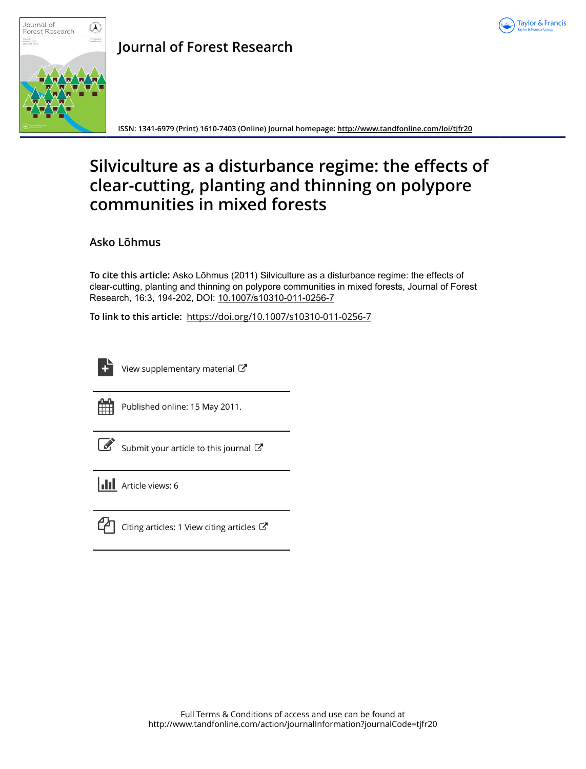



**Journal of Forest Research**

**ISSN: 1341-6979 (Print) 1610-7403 (Online) Journal homepage:<http://www.tandfonline.com/loi/tjfr20>**

# **Silviculture as a disturbance regime: the effects of clear-cutting, planting and thinning on polypore communities in mixed forests**

**Asko Lõhmus**

**To cite this article:** Asko Lõhmus (2011) Silviculture as a disturbance regime: the effects of clear-cutting, planting and thinning on polypore communities in mixed forests, Journal of Forest Research, 16:3, 194-202, DOI: [10.1007/s10310-011-0256-7](http://www.tandfonline.com/action/showCitFormats?doi=10.1007/s10310-011-0256-7)

**To link to this article:** <https://doi.org/10.1007/s10310-011-0256-7>

[View supplementary material](http://www.tandfonline.com/doi/suppl/10.1007/s10310-011-0256-7) C



Published online: 15 May 2011.

|--|

[Submit your article to this journal](http://www.tandfonline.com/action/authorSubmission?journalCode=tjfr20&show=instructions)  $\mathbb{Z}$ 

**III** Article views: 6



 $C$  [Citing articles: 1 View citing articles](http://www.tandfonline.com/doi/citedby/10.1007/s10310-011-0256-7#tabModule)  $C$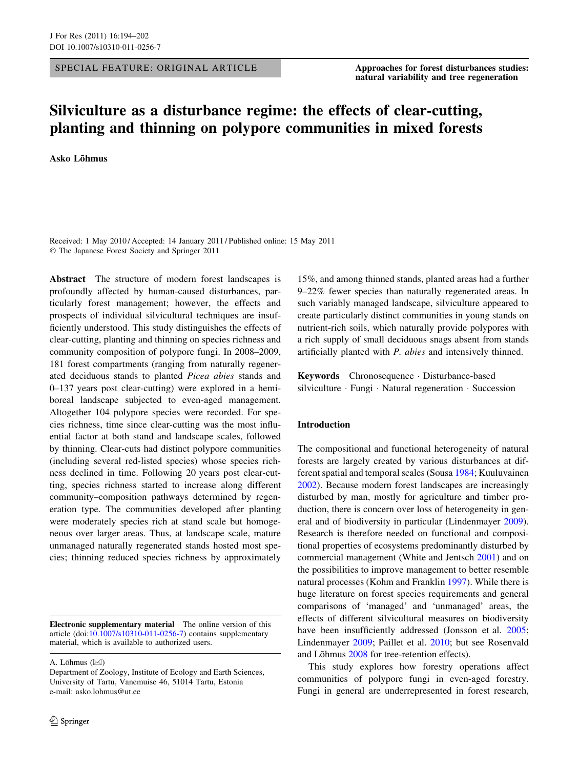SPECIAL FEATURE: ORIGINAL ARTICLE Approaches for forest disturbances studies:

natural variability and tree regeneration

# Silviculture as a disturbance regime: the effects of clear-cutting, planting and thinning on polypore communities in mixed forests

Asko Lõhmus

Received: 1 May 2010 / Accepted: 14 January 2011 / Published online: 15 May 2011 - The Japanese Forest Society and Springer 2011

Abstract The structure of modern forest landscapes is profoundly affected by human-caused disturbances, particularly forest management; however, the effects and prospects of individual silvicultural techniques are insufficiently understood. This study distinguishes the effects of clear-cutting, planting and thinning on species richness and community composition of polypore fungi. In 2008–2009, 181 forest compartments (ranging from naturally regenerated deciduous stands to planted Picea abies stands and 0–137 years post clear-cutting) were explored in a hemiboreal landscape subjected to even-aged management. Altogether 104 polypore species were recorded. For species richness, time since clear-cutting was the most influential factor at both stand and landscape scales, followed by thinning. Clear-cuts had distinct polypore communities (including several red-listed species) whose species richness declined in time. Following 20 years post clear-cutting, species richness started to increase along different community–composition pathways determined by regeneration type. The communities developed after planting were moderately species rich at stand scale but homogeneous over larger areas. Thus, at landscape scale, mature unmanaged naturally regenerated stands hosted most species; thinning reduced species richness by approximately

A. Lõhmus  $(\boxtimes)$ 

15%, and among thinned stands, planted areas had a further 9–22% fewer species than naturally regenerated areas. In such variably managed landscape, silviculture appeared to create particularly distinct communities in young stands on nutrient-rich soils, which naturally provide polypores with a rich supply of small deciduous snags absent from stands artificially planted with P. abies and intensively thinned.

Keywords Chronosequence - Disturbance-based silviculture · Fungi · Natural regeneration · Succession

# Introduction

The compositional and functional heterogeneity of natural forests are largely created by various disturbances at different spatial and temporal scales (Sousa [1984;](#page-9-0) Kuuluvainen [2002](#page-8-0)). Because modern forest landscapes are increasingly disturbed by man, mostly for agriculture and timber production, there is concern over loss of heterogeneity in general and of biodiversity in particular (Lindenmayer [2009](#page-8-0)). Research is therefore needed on functional and compositional properties of ecosystems predominantly disturbed by commercial management (White and Jentsch [2001\)](#page-9-0) and on the possibilities to improve management to better resemble natural processes (Kohm and Franklin [1997](#page-8-0)). While there is huge literature on forest species requirements and general comparisons of 'managed' and 'unmanaged' areas, the effects of different silvicultural measures on biodiversity have been insufficiently addressed (Jonsson et al. [2005](#page-8-0); Lindenmayer [2009](#page-8-0); Paillet et al. [2010;](#page-9-0) but see Rosenvald and Lõhmus [2008](#page-9-0) for tree-retention effects).

This study explores how forestry operations affect communities of polypore fungi in even-aged forestry. Fungi in general are underrepresented in forest research,

Electronic supplementary material The online version of this article (doi:[10.1007/s10310-011-0256-7\)](http://dx.doi.org/10.1007/s10310-011-0256-7) contains supplementary material, which is available to authorized users.

Department of Zoology, Institute of Ecology and Earth Sciences, University of Tartu, Vanemuise 46, 51014 Tartu, Estonia e-mail: asko.lohmus@ut.ee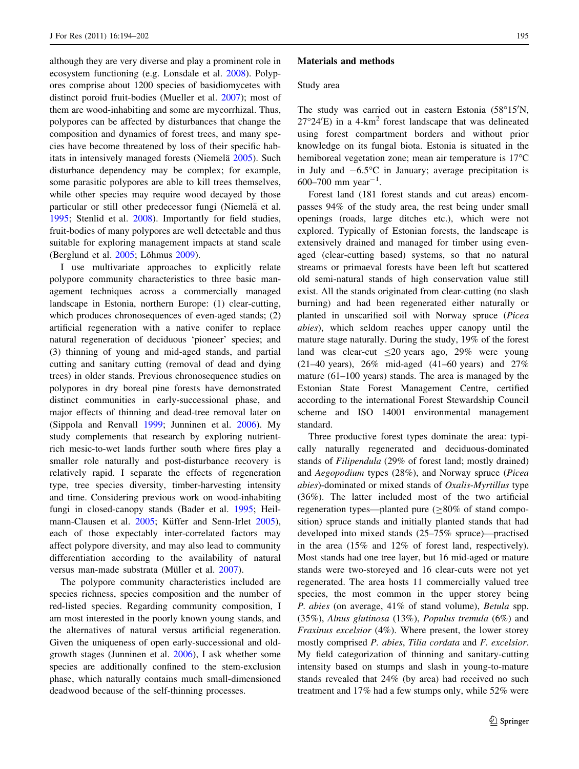although they are very diverse and play a prominent role in ecosystem functioning (e.g. Lonsdale et al. [2008\)](#page-9-0). Polypores comprise about 1200 species of basidiomycetes with distinct poroid fruit-bodies (Mueller et al. [2007\)](#page-9-0); most of them are wood-inhabiting and some are mycorrhizal. Thus, polypores can be affected by disturbances that change the composition and dynamics of forest trees, and many species have become threatened by loss of their specific hab-itats in intensively managed forests (Niemelä [2005\)](#page-9-0). Such disturbance dependency may be complex; for example, some parasitic polypores are able to kill trees themselves, while other species may require wood decayed by those particular or still other predecessor fungi (Niemelä et al. [1995;](#page-9-0) Stenlid et al. [2008\)](#page-9-0). Importantly for field studies, fruit-bodies of many polypores are well detectable and thus suitable for exploring management impacts at stand scale (Berglund et al. [2005;](#page-8-0) Lõhmus [2009\)](#page-8-0).

I use multivariate approaches to explicitly relate polypore community characteristics to three basic management techniques across a commercially managed landscape in Estonia, northern Europe: (1) clear-cutting, which produces chronosequences of even-aged stands; (2) artificial regeneration with a native conifer to replace natural regeneration of deciduous 'pioneer' species; and (3) thinning of young and mid-aged stands, and partial cutting and sanitary cutting (removal of dead and dying trees) in older stands. Previous chronosequence studies on polypores in dry boreal pine forests have demonstrated distinct communities in early-successional phase, and major effects of thinning and dead-tree removal later on (Sippola and Renvall [1999;](#page-9-0) Junninen et al. [2006\)](#page-8-0). My study complements that research by exploring nutrientrich mesic-to-wet lands further south where fires play a smaller role naturally and post-disturbance recovery is relatively rapid. I separate the effects of regeneration type, tree species diversity, timber-harvesting intensity and time. Considering previous work on wood-inhabiting fungi in closed-canopy stands (Bader et al. [1995;](#page-8-0) Heil-mann-Clausen et al. [2005](#page-8-0); Küffer and Senn-Irlet 2005), each of those expectably inter-correlated factors may affect polypore diversity, and may also lead to community differentiation according to the availability of natural versus man-made substrata (Müller et al. [2007](#page-9-0)).

The polypore community characteristics included are species richness, species composition and the number of red-listed species. Regarding community composition, I am most interested in the poorly known young stands, and the alternatives of natural versus artificial regeneration. Given the uniqueness of open early-successional and oldgrowth stages (Junninen et al. [2006](#page-8-0)), I ask whether some species are additionally confined to the stem-exclusion phase, which naturally contains much small-dimensioned deadwood because of the self-thinning processes.

#### Materials and methods

#### Study area

The study was carried out in eastern Estonia  $(58^{\circ}15^{\prime}N,$  $27^{\circ}24'E$ ) in a 4-km<sup>2</sup> forest landscape that was delineated using forest compartment borders and without prior knowledge on its fungal biota. Estonia is situated in the hemiboreal vegetation zone; mean air temperature is 17°C in July and  $-6.5^{\circ}$ C in January; average precipitation is 600–700 mm year<sup>-1</sup>.

Forest land (181 forest stands and cut areas) encompasses 94% of the study area, the rest being under small openings (roads, large ditches etc.), which were not explored. Typically of Estonian forests, the landscape is extensively drained and managed for timber using evenaged (clear-cutting based) systems, so that no natural streams or primaeval forests have been left but scattered old semi-natural stands of high conservation value still exist. All the stands originated from clear-cutting (no slash burning) and had been regenerated either naturally or planted in unscarified soil with Norway spruce (Picea abies), which seldom reaches upper canopy until the mature stage naturally. During the study, 19% of the forest land was clear-cut  $\leq 20$  years ago, 29% were young (21–40 years), 26% mid-aged (41–60 years) and 27% mature (61–100 years) stands. The area is managed by the Estonian State Forest Management Centre, certified according to the international Forest Stewardship Council scheme and ISO 14001 environmental management standard.

Three productive forest types dominate the area: typically naturally regenerated and deciduous-dominated stands of Filipendula (29% of forest land; mostly drained) and Aegopodium types (28%), and Norway spruce (Picea abies)-dominated or mixed stands of Oxalis-Myrtillus type (36%). The latter included most of the two artificial regeneration types—planted pure  $(\geq 80\%$  of stand composition) spruce stands and initially planted stands that had developed into mixed stands (25–75% spruce)—practised in the area (15% and 12% of forest land, respectively). Most stands had one tree layer, but 16 mid-aged or mature stands were two-storeyed and 16 clear-cuts were not yet regenerated. The area hosts 11 commercially valued tree species, the most common in the upper storey being P. abies (on average, 41% of stand volume), Betula spp. (35%), Alnus glutinosa (13%), Populus tremula (6%) and Fraxinus excelsior (4%). Where present, the lower storey mostly comprised P. abies, Tilia cordata and F. excelsior. My field categorization of thinning and sanitary-cutting intensity based on stumps and slash in young-to-mature stands revealed that 24% (by area) had received no such treatment and 17% had a few stumps only, while 52% were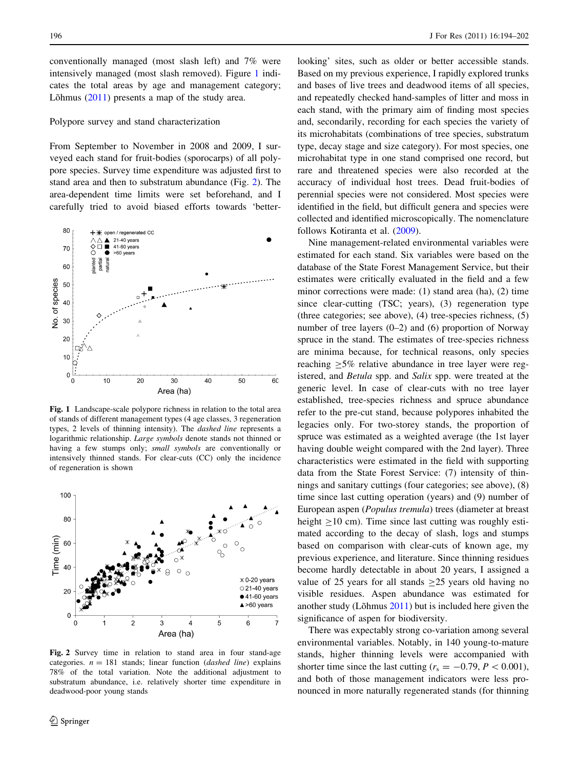<span id="page-3-0"></span>conventionally managed (most slash left) and 7% were intensively managed (most slash removed). Figure 1 indicates the total areas by age and management category; Lõhmus  $(2011)$  $(2011)$  presents a map of the study area.

#### Polypore survey and stand characterization

From September to November in 2008 and 2009, I surveyed each stand for fruit-bodies (sporocarps) of all polypore species. Survey time expenditure was adjusted first to stand area and then to substratum abundance (Fig. 2). The area-dependent time limits were set beforehand, and I carefully tried to avoid biased efforts towards 'better-



Fig. 1 Landscape-scale polypore richness in relation to the total area of stands of different management types (4 age classes, 3 regeneration types, 2 levels of thinning intensity). The dashed line represents a logarithmic relationship. Large symbols denote stands not thinned or having a few stumps only; *small symbols* are conventionally or intensively thinned stands. For clear-cuts (CC) only the incidence of regeneration is shown



Fig. 2 Survey time in relation to stand area in four stand-age categories.  $n = 181$  stands; linear function (*dashed line*) explains 78% of the total variation. Note the additional adjustment to substratum abundance, i.e. relatively shorter time expenditure in deadwood-poor young stands

looking' sites, such as older or better accessible stands. Based on my previous experience, I rapidly explored trunks and bases of live trees and deadwood items of all species, and repeatedly checked hand-samples of litter and moss in each stand, with the primary aim of finding most species and, secondarily, recording for each species the variety of its microhabitats (combinations of tree species, substratum type, decay stage and size category). For most species, one microhabitat type in one stand comprised one record, but rare and threatened species were also recorded at the accuracy of individual host trees. Dead fruit-bodies of perennial species were not considered. Most species were identified in the field, but difficult genera and species were collected and identified microscopically. The nomenclature follows Kotiranta et al. ([2009\)](#page-8-0).

Nine management-related environmental variables were estimated for each stand. Six variables were based on the database of the State Forest Management Service, but their estimates were critically evaluated in the field and a few minor corrections were made: (1) stand area (ha), (2) time since clear-cutting (TSC; years), (3) regeneration type (three categories; see above), (4) tree-species richness, (5) number of tree layers  $(0-2)$  and  $(6)$  proportion of Norway spruce in the stand. The estimates of tree-species richness are minima because, for technical reasons, only species reaching  $>5\%$  relative abundance in tree layer were registered, and Betula spp. and Salix spp. were treated at the generic level. In case of clear-cuts with no tree layer established, tree-species richness and spruce abundance refer to the pre-cut stand, because polypores inhabited the legacies only. For two-storey stands, the proportion of spruce was estimated as a weighted average (the 1st layer having double weight compared with the 2nd layer). Three characteristics were estimated in the field with supporting data from the State Forest Service: (7) intensity of thinnings and sanitary cuttings (four categories; see above), (8) time since last cutting operation (years) and (9) number of European aspen (Populus tremula) trees (diameter at breast height  $>10$  cm). Time since last cutting was roughly estimated according to the decay of slash, logs and stumps based on comparison with clear-cuts of known age, my previous experience, and literature. Since thinning residues become hardly detectable in about 20 years, I assigned a value of 25 years for all stands  $\geq$  25 years old having no visible residues. Aspen abundance was estimated for another study (Lõhmus  $2011$ ) but is included here given the significance of aspen for biodiversity.

There was expectably strong co-variation among several environmental variables. Notably, in 140 young-to-mature stands, higher thinning levels were accompanied with shorter time since the last cutting  $(r_s = -0.79, P < 0.001)$ , and both of those management indicators were less pronounced in more naturally regenerated stands (for thinning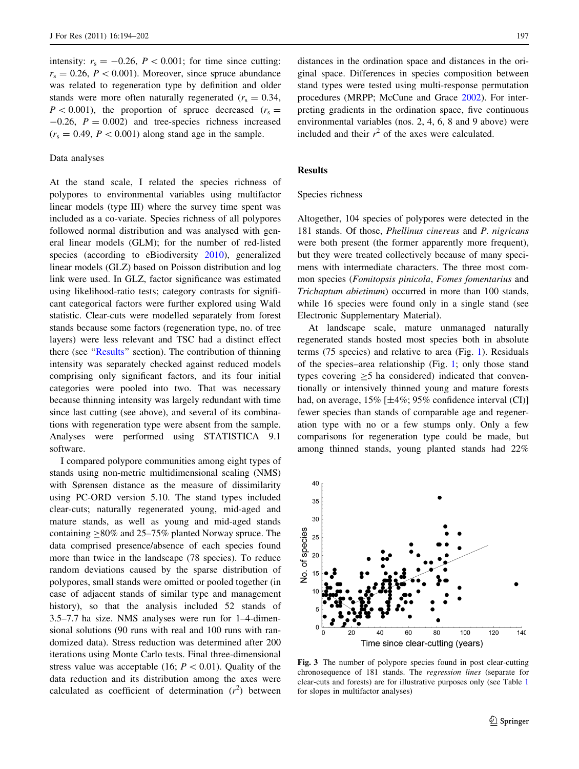<span id="page-4-0"></span>intensity:  $r_s = -0.26$ ,  $P \lt 0.001$ ; for time since cutting:  $r_s = 0.26$ ,  $P \lt 0.001$ ). Moreover, since spruce abundance was related to regeneration type by definition and older stands were more often naturally regenerated  $(r<sub>s</sub> = 0.34,$  $P < 0.001$ ), the proportion of spruce decreased ( $r_s =$  $-0.26$ ,  $P = 0.002$ ) and tree-species richness increased  $(r<sub>s</sub> = 0.49, P < 0.001)$  along stand age in the sample.

#### Data analyses

At the stand scale, I related the species richness of polypores to environmental variables using multifactor linear models (type III) where the survey time spent was included as a co-variate. Species richness of all polypores followed normal distribution and was analysed with general linear models (GLM); for the number of red-listed species (according to eBiodiversity [2010\)](#page-8-0), generalized linear models (GLZ) based on Poisson distribution and log link were used. In GLZ, factor significance was estimated using likelihood-ratio tests; category contrasts for significant categorical factors were further explored using Wald statistic. Clear-cuts were modelled separately from forest stands because some factors (regeneration type, no. of tree layers) were less relevant and TSC had a distinct effect there (see ''Results'' section). The contribution of thinning intensity was separately checked against reduced models comprising only significant factors, and its four initial categories were pooled into two. That was necessary because thinning intensity was largely redundant with time since last cutting (see above), and several of its combinations with regeneration type were absent from the sample. Analyses were performed using STATISTICA 9.1 software.

I compared polypore communities among eight types of stands using non-metric multidimensional scaling (NMS) with Sørensen distance as the measure of dissimilarity using PC-ORD version 5.10. The stand types included clear-cuts; naturally regenerated young, mid-aged and mature stands, as well as young and mid-aged stands containing  $\geq 80\%$  and 25–75% planted Norway spruce. The data comprised presence/absence of each species found more than twice in the landscape (78 species). To reduce random deviations caused by the sparse distribution of polypores, small stands were omitted or pooled together (in case of adjacent stands of similar type and management history), so that the analysis included 52 stands of 3.5–7.7 ha size. NMS analyses were run for 1–4-dimensional solutions (90 runs with real and 100 runs with randomized data). Stress reduction was determined after 200 iterations using Monte Carlo tests. Final three-dimensional stress value was acceptable (16;  $P \lt 0.01$ ). Quality of the data reduction and its distribution among the axes were calculated as coefficient of determination  $(r^2)$  between

distances in the ordination space and distances in the original space. Differences in species composition between stand types were tested using multi-response permutation procedures (MRPP; McCune and Grace [2002](#page-9-0)). For interpreting gradients in the ordination space, five continuous environmental variables (nos. 2, 4, 6, 8 and 9 above) were included and their  $r^2$  of the axes were calculated.

# Results

# Species richness

Altogether, 104 species of polypores were detected in the 181 stands. Of those, Phellinus cinereus and P. nigricans were both present (the former apparently more frequent), but they were treated collectively because of many specimens with intermediate characters. The three most common species (Fomitopsis pinicola, Fomes fomentarius and Trichaptum abietinum) occurred in more than 100 stands, while 16 species were found only in a single stand (see Electronic Supplementary Material).

At landscape scale, mature unmanaged naturally regenerated stands hosted most species both in absolute terms (75 species) and relative to area (Fig. [1\)](#page-3-0). Residuals of the species–area relationship (Fig. [1;](#page-3-0) only those stand types covering  $\geq$ 5 ha considered) indicated that conventionally or intensively thinned young and mature forests had, on average, 15% [ $\pm$ 4%; 95% confidence interval (CI)] fewer species than stands of comparable age and regeneration type with no or a few stumps only. Only a few comparisons for regeneration type could be made, but among thinned stands, young planted stands had 22%



Fig. 3 The number of polypore species found in post clear-cutting chronosequence of 181 stands. The regression lines (separate for clear-cuts and forests) are for illustrative purposes only (see Table [1](#page-5-0) for slopes in multifactor analyses)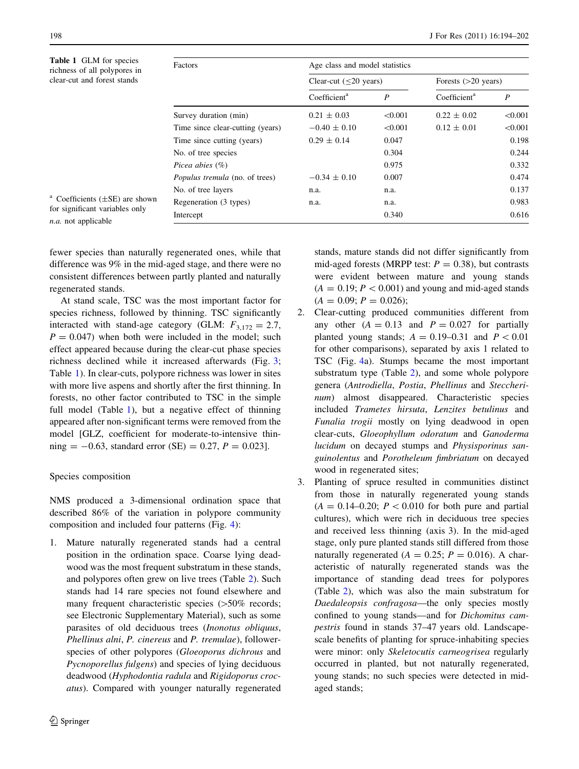<span id="page-5-0"></span>

| Table 1 GLM for species<br>richness of all polypores in<br>clear-cut and forest stands<br><sup>a</sup> Coefficients $(\pm SE)$ are shown<br>for significant variables only<br><i>n.a.</i> not applicable | Factors                               | Age class and model statistics      |                  |                          |                  |  |
|----------------------------------------------------------------------------------------------------------------------------------------------------------------------------------------------------------|---------------------------------------|-------------------------------------|------------------|--------------------------|------------------|--|
|                                                                                                                                                                                                          |                                       | Clear-cut $(\leq 20$ years)         |                  | Forests $(>20$ years)    |                  |  |
|                                                                                                                                                                                                          |                                       | Coefficient <sup>a</sup>            | $\boldsymbol{P}$ | Coefficient <sup>a</sup> | $\boldsymbol{P}$ |  |
|                                                                                                                                                                                                          | Survey duration (min)                 | $0.21 \pm 0.03$                     | < 0.001          | $0.22 \pm 0.02$          | < 0.001          |  |
|                                                                                                                                                                                                          | Time since clear-cutting (years)      | $-0.40 \pm 0.10$                    | < 0.001          | $0.12 \pm 0.01$          | < 0.001          |  |
|                                                                                                                                                                                                          | Time since cutting (years)            | $0.29 \pm 0.14$<br>$-0.34 \pm 0.10$ | 0.047            |                          |                  |  |
|                                                                                                                                                                                                          | No. of tree species                   |                                     | 0.304            |                          | 0.244            |  |
|                                                                                                                                                                                                          | Picea abies $(\%)$                    |                                     | 0.975            |                          | 0.332            |  |
|                                                                                                                                                                                                          | <i>Populus tremula</i> (no. of trees) |                                     | 0.007            |                          | 0.474            |  |
|                                                                                                                                                                                                          | No. of tree layers                    | n.a.                                | n.a.             |                          | 0.137            |  |
|                                                                                                                                                                                                          | Regeneration (3 types)                | n.a.                                | n.a.             |                          | 0.983            |  |
|                                                                                                                                                                                                          | Intercept                             |                                     | 0.340            |                          | 0.616            |  |

fewer species than naturally regenerated ones, while that difference was 9% in the mid-aged stage, and there were no consistent differences between partly planted and naturally regenerated stands.

At stand scale, TSC was the most important factor for species richness, followed by thinning. TSC significantly interacted with stand-age category (GLM:  $F_{3,172} = 2.7$ ,  $P = 0.047$ ) when both were included in the model; such effect appeared because during the clear-cut phase species richness declined while it increased afterwards (Fig. [3](#page-4-0); Table 1). In clear-cuts, polypore richness was lower in sites with more live aspens and shortly after the first thinning. In forests, no other factor contributed to TSC in the simple full model (Table 1), but a negative effect of thinning appeared after non-significant terms were removed from the model [GLZ, coefficient for moderate-to-intensive thinning =  $-0.63$ , standard error (SE) = 0.27, P = 0.023].

# Species composition

NMS produced a 3-dimensional ordination space that described 86% of the variation in polypore community composition and included four patterns (Fig. [4\)](#page-6-0):

1. Mature naturally regenerated stands had a central position in the ordination space. Coarse lying deadwood was the most frequent substratum in these stands, and polypores often grew on live trees (Table [2\)](#page-7-0). Such stands had 14 rare species not found elsewhere and many frequent characteristic species  $(>50\%$  records; see Electronic Supplementary Material), such as some parasites of old deciduous trees (Inonotus obliquus, Phellinus alni, P. cinereus and P. tremulae), followerspecies of other polypores (Gloeoporus dichrous and Pycnoporellus fulgens) and species of lying deciduous deadwood (Hyphodontia radula and Rigidoporus crocatus). Compared with younger naturally regenerated stands, mature stands did not differ significantly from mid-aged forests (MRPP test:  $P = 0.38$ ), but contrasts were evident between mature and young stands  $(A = 0.19; P < 0.001)$  and young and mid-aged stands  $(A = 0.09; P = 0.026);$ 

- 2. Clear-cutting produced communities different from any other  $(A = 0.13$  and  $P = 0.027$  for partially planted young stands;  $A = 0.19{\text -}0.31$  and  $P < 0.01$ for other comparisons), separated by axis 1 related to TSC (Fig. [4a](#page-6-0)). Stumps became the most important substratum type (Table [2](#page-7-0)), and some whole polypore genera (Antrodiella, Postia, Phellinus and Steccherinum) almost disappeared. Characteristic species included Trametes hirsuta, Lenzites betulinus and Funalia trogii mostly on lying deadwood in open clear-cuts, Gloeophyllum odoratum and Ganoderma lucidum on decayed stumps and Physisporinus sanguinolentus and Porotheleum fimbriatum on decayed wood in regenerated sites;
- 3. Planting of spruce resulted in communities distinct from those in naturally regenerated young stands  $(A = 0.14{\text{-}}0.20; P < 0.010$  for both pure and partial cultures), which were rich in deciduous tree species and received less thinning (axis 3). In the mid-aged stage, only pure planted stands still differed from those naturally regenerated ( $A = 0.25$ ;  $P = 0.016$ ). A characteristic of naturally regenerated stands was the importance of standing dead trees for polypores (Table [2](#page-7-0)), which was also the main substratum for Daedaleopsis confragosa—the only species mostly confined to young stands—and for Dichomitus campestris found in stands 37–47 years old. Landscapescale benefits of planting for spruce-inhabiting species were minor: only Skeletocutis carneogrisea regularly occurred in planted, but not naturally regenerated, young stands; no such species were detected in midaged stands;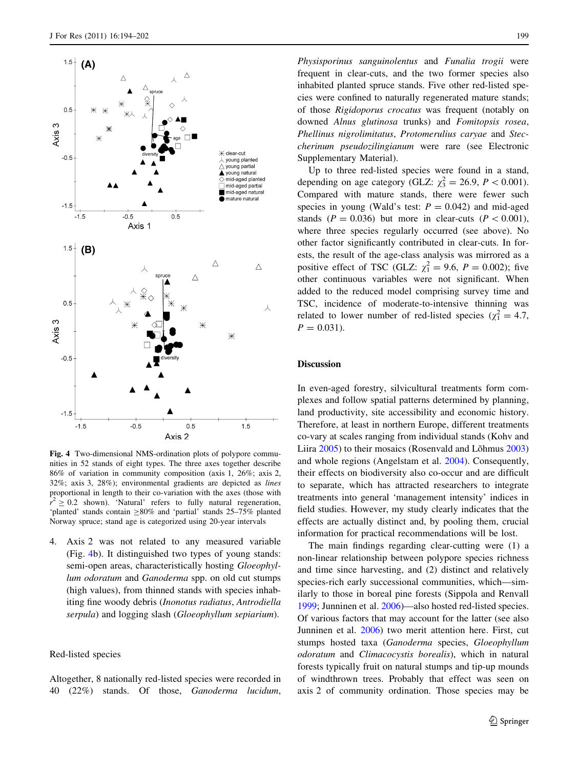<span id="page-6-0"></span>

Fig. 4 Two-dimensional NMS-ordination plots of polypore communities in 52 stands of eight types. The three axes together describe 86% of variation in community composition (axis 1, 26%; axis 2, 32%; axis 3, 28%); environmental gradients are depicted as lines proportional in length to their co-variation with the axes (those with  $r^2 \geq 0.2$  shown). 'Natural' refers to fully natural regeneration, 'planted' stands contain  $\geq 80\%$  and 'partial' stands 25–75% planted Norway spruce; stand age is categorized using 20-year intervals

4. Axis 2 was not related to any measured variable (Fig. 4b). It distinguished two types of young stands: semi-open areas, characteristically hosting Gloeophyllum odoratum and Ganoderma spp. on old cut stumps (high values), from thinned stands with species inhabiting fine woody debris (Inonotus radiatus, Antrodiella serpula) and logging slash (Gloeophyllum sepiarium).

### Red-listed species

Altogether, 8 nationally red-listed species were recorded in 40 (22%) stands. Of those, Ganoderma lucidum, Physisporinus sanguinolentus and Funalia trogii were frequent in clear-cuts, and the two former species also inhabited planted spruce stands. Five other red-listed species were confined to naturally regenerated mature stands; of those Rigidoporus crocatus was frequent (notably on downed Alnus glutinosa trunks) and Fomitopsis rosea, Phellinus nigrolimitatus, Protomerulius caryae and Steccherinum pseudozilingianum were rare (see Electronic Supplementary Material).

Up to three red-listed species were found in a stand, depending on age category (GLZ:  $\chi_3^2 = 26.9$ ,  $P < 0.001$ ). Compared with mature stands, there were fewer such species in young (Wald's test:  $P = 0.042$ ) and mid-aged stands ( $P = 0.036$ ) but more in clear-cuts ( $P < 0.001$ ), where three species regularly occurred (see above). No other factor significantly contributed in clear-cuts. In forests, the result of the age-class analysis was mirrored as a positive effect of TSC (GLZ:  $\chi_1^2 = 9.6$ ,  $P = 0.002$ ); five other continuous variables were not significant. When added to the reduced model comprising survey time and TSC, incidence of moderate-to-intensive thinning was related to lower number of red-listed species ( $\chi_1^2 = 4.7$ ,  $P = 0.031$ .

# Discussion

In even-aged forestry, silvicultural treatments form complexes and follow spatial patterns determined by planning, land productivity, site accessibility and economic history. Therefore, at least in northern Europe, different treatments co-vary at scales ranging from individual stands (Kohv and Liira [2005](#page-8-0)) to their mosaics (Rosenvald and Lõhmus [2003\)](#page-9-0) and whole regions (Angelstam et al. [2004\)](#page-8-0). Consequently, their effects on biodiversity also co-occur and are difficult to separate, which has attracted researchers to integrate treatments into general 'management intensity' indices in field studies. However, my study clearly indicates that the effects are actually distinct and, by pooling them, crucial information for practical recommendations will be lost.

The main findings regarding clear-cutting were (1) a non-linear relationship between polypore species richness and time since harvesting, and (2) distinct and relatively species-rich early successional communities, which—similarly to those in boreal pine forests (Sippola and Renvall [1999](#page-9-0); Junninen et al. [2006](#page-8-0))—also hosted red-listed species. Of various factors that may account for the latter (see also Junninen et al. [2006](#page-8-0)) two merit attention here. First, cut stumps hosted taxa (Ganoderma species, Gloeophyllum odoratum and Climacocystis borealis), which in natural forests typically fruit on natural stumps and tip-up mounds of windthrown trees. Probably that effect was seen on axis 2 of community ordination. Those species may be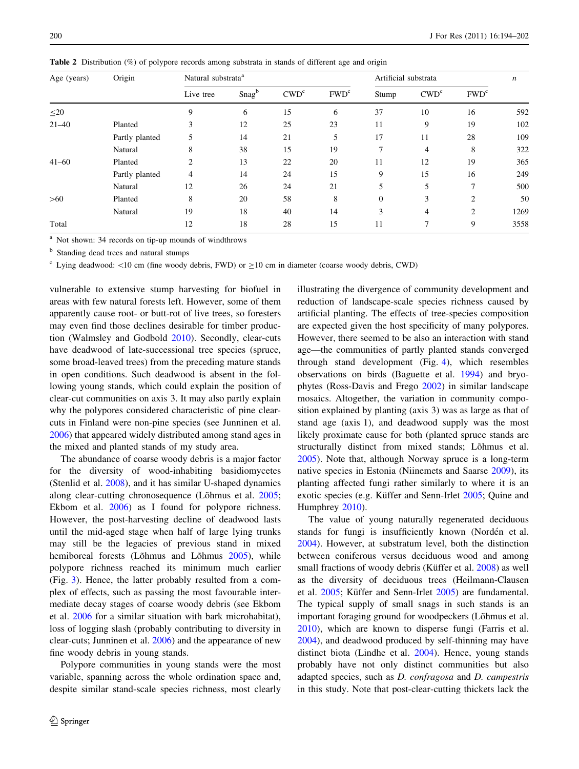| Age (years) | Origin         | Natural substrata <sup>a</sup> |       |                  | Artificial substrata |          |                  | $\boldsymbol{n}$ |      |
|-------------|----------------|--------------------------------|-------|------------------|----------------------|----------|------------------|------------------|------|
|             |                | Live tree                      | Snagb | CWD <sup>c</sup> | FWD <sup>c</sup>     | Stump    | CWD <sup>c</sup> | FWD <sup>c</sup> |      |
| $\leq$ 20   |                | 9                              | 6     | 15               | 6                    | 37       | 10               | 16               | 592  |
| $21 - 40$   | Planted        | 3                              | 12    | 25               | 23                   | 11       | 9                | 19               | 102  |
|             | Partly planted | 5                              | 14    | 21               | 5                    | 17       | 11               | 28               | 109  |
|             | Natural        | 8                              | 38    | 15               | 19                   | 7        | 4                | 8                | 322  |
| $41 - 60$   | Planted        | $\overline{c}$                 | 13    | 22               | 20                   | 11       | 12               | 19               | 365  |
|             | Partly planted | 4                              | 14    | 24               | 15                   | 9        | 15               | 16               | 249  |
|             | Natural        | 12                             | 26    | 24               | 21                   | 5        | 5                | 7                | 500  |
| >60         | Planted        | 8                              | 20    | 58               | 8                    | $\Omega$ | 3                | 2                | 50   |
|             | Natural        | 19                             | 18    | 40               | 14                   | 3        | 4                | 2                | 1269 |
| Total       |                | 12                             | 18    | 28               | 15                   | 11       | 7                | 9                | 3558 |

<span id="page-7-0"></span>Table 2 Distribution (%) of polypore records among substrata in stands of different age and origin

<sup>a</sup> Not shown: 34 records on tip-up mounds of windthrows

<sup>b</sup> Standing dead trees and natural stumps

<sup>c</sup> Lying deadwood: <10 cm (fine woody debris, FWD) or  $\geq$ 10 cm in diameter (coarse woody debris, CWD)

vulnerable to extensive stump harvesting for biofuel in areas with few natural forests left. However, some of them apparently cause root- or butt-rot of live trees, so foresters may even find those declines desirable for timber production (Walmsley and Godbold [2010](#page-9-0)). Secondly, clear-cuts have deadwood of late-successional tree species (spruce, some broad-leaved trees) from the preceding mature stands in open conditions. Such deadwood is absent in the following young stands, which could explain the position of clear-cut communities on axis 3. It may also partly explain why the polypores considered characteristic of pine clearcuts in Finland were non-pine species (see Junninen et al. [2006\)](#page-8-0) that appeared widely distributed among stand ages in the mixed and planted stands of my study area.

The abundance of coarse woody debris is a major factor for the diversity of wood-inhabiting basidiomycetes (Stenlid et al. [2008\)](#page-9-0), and it has similar U-shaped dynamics along clear-cutting chronosequence (Lõhmus et al. [2005](#page-9-0); Ekbom et al. [2006](#page-8-0)) as I found for polypore richness. However, the post-harvesting decline of deadwood lasts until the mid-aged stage when half of large lying trunks may still be the legacies of previous stand in mixed hemiboreal forests (Lõhmus and Lõhmus [2005](#page-9-0)), while polypore richness reached its minimum much earlier (Fig. [3](#page-4-0)). Hence, the latter probably resulted from a complex of effects, such as passing the most favourable intermediate decay stages of coarse woody debris (see Ekbom et al. [2006](#page-8-0) for a similar situation with bark microhabitat), loss of logging slash (probably contributing to diversity in clear-cuts; Junninen et al. [2006\)](#page-8-0) and the appearance of new fine woody debris in young stands.

Polypore communities in young stands were the most variable, spanning across the whole ordination space and, despite similar stand-scale species richness, most clearly illustrating the divergence of community development and reduction of landscape-scale species richness caused by artificial planting. The effects of tree-species composition are expected given the host specificity of many polypores. However, there seemed to be also an interaction with stand age—the communities of partly planted stands converged through stand development (Fig. [4](#page-6-0)), which resembles observations on birds (Baguette et al. [1994\)](#page-8-0) and bryophytes (Ross-Davis and Frego [2002](#page-9-0)) in similar landscape mosaics. Altogether, the variation in community composition explained by planting (axis 3) was as large as that of stand age (axis 1), and deadwood supply was the most likely proximate cause for both (planted spruce stands are structurally distinct from mixed stands; Lõhmus et al. [2005](#page-9-0)). Note that, although Norway spruce is a long-term native species in Estonia (Niinemets and Saarse [2009\)](#page-9-0), its planting affected fungi rather similarly to where it is an exotic species (e.g. Küffer and Senn-Irlet [2005;](#page-8-0) Quine and Humphrey [2010](#page-9-0)).

The value of young naturally regenerated deciduous stands for fungi is insufficiently known (Nordén et al. [2004](#page-9-0)). However, at substratum level, both the distinction between coniferous versus deciduous wood and among small fractions of woody debris (Küffer et al. [2008](#page-8-0)) as well as the diversity of deciduous trees (Heilmann-Clausen et al. [2005](#page-8-0); Küffer and Senn-Irlet [2005\)](#page-8-0) are fundamental. The typical supply of small snags in such stands is an important foraging ground for woodpeckers (Lõhmus et al. [2010](#page-9-0)), which are known to disperse fungi (Farris et al. [2004](#page-8-0)), and deadwood produced by self-thinning may have distinct biota (Lindhe et al. [2004](#page-8-0)). Hence, young stands probably have not only distinct communities but also adapted species, such as D. confragosa and D. campestris in this study. Note that post-clear-cutting thickets lack the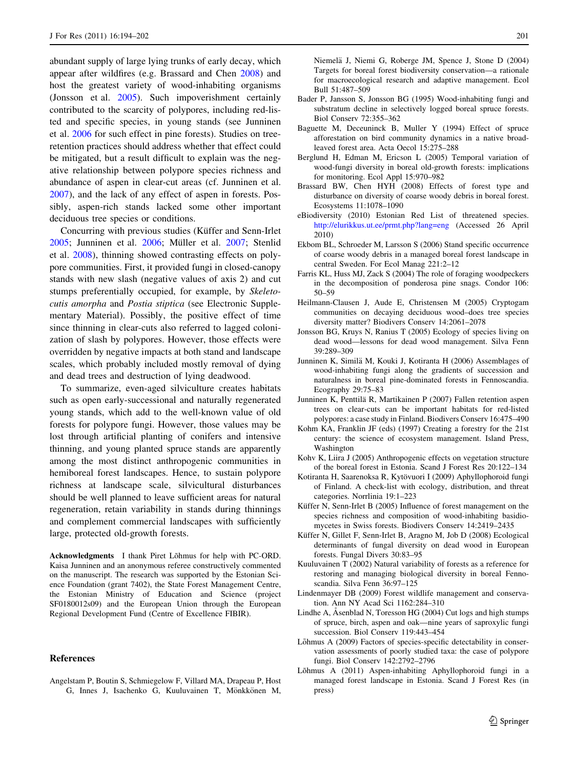<span id="page-8-0"></span>abundant supply of large lying trunks of early decay, which appear after wildfires (e.g. Brassard and Chen 2008) and host the greatest variety of wood-inhabiting organisms (Jonsson et al. 2005). Such impoverishment certainly contributed to the scarcity of polypores, including red-listed and specific species, in young stands (see Junninen et al. 2006 for such effect in pine forests). Studies on treeretention practices should address whether that effect could be mitigated, but a result difficult to explain was the negative relationship between polypore species richness and abundance of aspen in clear-cut areas (cf. Junninen et al. 2007), and the lack of any effect of aspen in forests. Possibly, aspen-rich stands lacked some other important deciduous tree species or conditions.

Concurring with previous studies (Küffer and Senn-Irlet 2005; Junninen et al. 2006; Müller et al. [2007;](#page-9-0) Stenlid et al. [2008](#page-9-0)), thinning showed contrasting effects on polypore communities. First, it provided fungi in closed-canopy stands with new slash (negative values of axis 2) and cut stumps preferentially occupied, for example, by Skeletocutis amorpha and Postia stiptica (see Electronic Supplementary Material). Possibly, the positive effect of time since thinning in clear-cuts also referred to lagged colonization of slash by polypores. However, those effects were overridden by negative impacts at both stand and landscape scales, which probably included mostly removal of dying and dead trees and destruction of lying deadwood.

To summarize, even-aged silviculture creates habitats such as open early-successional and naturally regenerated young stands, which add to the well-known value of old forests for polypore fungi. However, those values may be lost through artificial planting of conifers and intensive thinning, and young planted spruce stands are apparently among the most distinct anthropogenic communities in hemiboreal forest landscapes. Hence, to sustain polypore richness at landscape scale, silvicultural disturbances should be well planned to leave sufficient areas for natural regeneration, retain variability in stands during thinnings and complement commercial landscapes with sufficiently large, protected old-growth forests.

Acknowledgments I thank Piret Lõhmus for help with PC-ORD. Kaisa Junninen and an anonymous referee constructively commented on the manuscript. The research was supported by the Estonian Science Foundation (grant 7402), the State Forest Management Centre, the Estonian Ministry of Education and Science (project SF0180012s09) and the European Union through the European Regional Development Fund (Centre of Excellence FIBIR).

# References

Angelstam P, Boutin S, Schmiegelow F, Villard MA, Drapeau P, Host G, Innes J, Isachenko G, Kuuluvainen T, Mönkkönen M, Niemela¨ J, Niemi G, Roberge JM, Spence J, Stone D (2004) Targets for boreal forest biodiversity conservation—a rationale for macroecological research and adaptive management. Ecol Bull 51:487–509

- Bader P, Jansson S, Jonsson BG (1995) Wood-inhabiting fungi and substratum decline in selectively logged boreal spruce forests. Biol Conserv 72:355–362
- Baguette M, Deceuninck B, Muller Y (1994) Effect of spruce afforestation on bird community dynamics in a native broadleaved forest area. Acta Oecol 15:275–288
- Berglund H, Edman M, Ericson L (2005) Temporal variation of wood-fungi diversity in boreal old-growth forests: implications for monitoring. Ecol Appl 15:970–982
- Brassard BW, Chen HYH (2008) Effects of forest type and disturbance on diversity of coarse woody debris in boreal forest. Ecosystems 11:1078–1090
- eBiodiversity (2010) Estonian Red List of threatened species. <http://elurikkus.ut.ee/prmt.php?lang=eng> (Accessed 26 April 2010)
- Ekbom BL, Schroeder M, Larsson S (2006) Stand specific occurrence of coarse woody debris in a managed boreal forest landscape in central Sweden. For Ecol Manag 221:2–12
- Farris KL, Huss MJ, Zack S (2004) The role of foraging woodpeckers in the decomposition of ponderosa pine snags. Condor 106: 50–59
- Heilmann-Clausen J, Aude E, Christensen M (2005) Cryptogam communities on decaying deciduous wood–does tree species diversity matter? Biodivers Conserv 14:2061–2078
- Jonsson BG, Kruys N, Ranius T (2005) Ecology of species living on dead wood—lessons for dead wood management. Silva Fenn 39:289–309
- Junninen K, Similä M, Kouki J, Kotiranta H (2006) Assemblages of wood-inhabiting fungi along the gradients of succession and naturalness in boreal pine-dominated forests in Fennoscandia. Ecography 29:75–83
- Junninen K, Penttila¨ R, Martikainen P (2007) Fallen retention aspen trees on clear-cuts can be important habitats for red-listed polypores: a case study in Finland. Biodivers Conserv 16:475–490
- Kohm KA, Franklin JF (eds) (1997) Creating a forestry for the 21st century: the science of ecosystem management. Island Press, Washington
- Kohv K, Liira J (2005) Anthropogenic effects on vegetation structure of the boreal forest in Estonia. Scand J Forest Res 20:122–134
- Kotiranta H, Saarenoksa R, Kytövuori I (2009) Aphyllophoroid fungi of Finland. A check-list with ecology, distribution, and threat categories. Norrlinia 19:1–223
- Küffer N, Senn-Irlet B (2005) Influence of forest management on the species richness and composition of wood-inhabiting basidiomycetes in Swiss forests. Biodivers Conserv 14:2419–2435
- Küffer N, Gillet F, Senn-Irlet B, Aragno M, Job D (2008) Ecological determinants of fungal diversity on dead wood in European forests. Fungal Divers 30:83–95
- Kuuluvainen T (2002) Natural variability of forests as a reference for restoring and managing biological diversity in boreal Fennoscandia. Silva Fenn 36:97–125
- Lindenmayer DB (2009) Forest wildlife management and conservation. Ann NY Acad Sci 1162:284–310
- Lindhe A, Asenblad N, Toresson  $HG$  (2004) Cut logs and high stumps of spruce, birch, aspen and oak—nine years of saproxylic fungi succession. Biol Conserv 119:443–454
- Lõhmus A (2009) Factors of species-specific detectability in conservation assessments of poorly studied taxa: the case of polypore fungi. Biol Conserv 142:2792–2796
- Lõhmus A (2011) Aspen-inhabiting Aphyllophoroid fungi in a managed forest landscape in Estonia. Scand J Forest Res (in press)